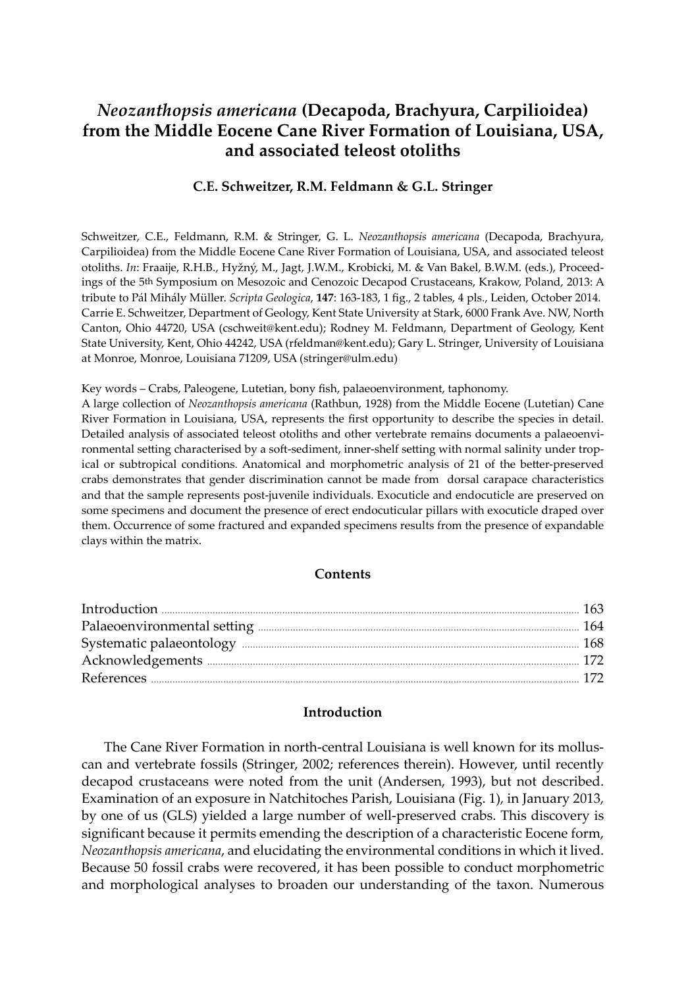# *Neozanthopsis americana* **(Decapoda, Brachyura, Carpilioidea) from the Middle Eocene Cane River Formation of Louisiana, USA, and associated teleost otoliths**

# **C.E. Schweitzer, R.M. Feldmann & G.L. Stringer**

Schweitzer, C.E., Feldmann, R.M. & Stringer, G. L. *Neozanthopsis americana* (Decapoda, Brachyura, Carpilioidea) from the Middle Eocene Cane River Formation of Louisiana, USA, and associated teleost otoliths. *In*: Fraaije, R.H.B., Hyžný, M., Jagt, J.W.M., Krobicki, M. & Van Bakel, B.W.M. (eds.), Proceedings of the 5th Symposium on Mesozoic and Cenozoic Decapod Crustaceans, Krakow, Poland, 2013: A tribute to Pál Mihály Müller. *Scripta Geologica*, **147**: 163-183, 1 fig., 2 tables, 4 pls., Leiden, October 2014. Carrie E. Schweitzer, Department of Geology, Kent State University at Stark, 6000 Frank Ave. NW, North Canton, Ohio 44720, USA (cschweit@kent.edu); Rodney M. Feldmann, Department of Geology, Kent State University, Kent, Ohio 44242, USA (rfeldman@kent.edu); Gary L. Stringer, University of Louisiana at Monroe, Monroe, Louisiana 71209, USA (stringer@ulm.edu)

Key words – Crabs, Paleogene, Lutetian, bony fish, palaeoenvironment, taphonomy.

A large collection of *Neozanthopsis americana* (Rathbun, 1928) from the Middle Eocene (Lutetian) Cane River Formation in Louisiana, USA, represents the first opportunity to describe the species in detail. Detailed analysis of associated teleost otoliths and other vertebrate remains documents a palaeoenvironmental setting characterised by a soft-sediment, inner-shelf setting with normal salinity under tropical or subtropical conditions. Anatomical and morphometric analysis of 21 of the better-preserved crabs demonstrates that gender discrimination cannot be made from dorsal carapace characteristics and that the sample represents post-juvenile individuals. Exocuticle and endocuticle are preserved on some specimens and document the presence of erect endocuticular pillars with exocuticle draped over them. Occurrence of some fractured and expanded specimens results from the presence of expandable clays within the matrix.

### **Contents**

# **Introduction**

The Cane River Formation in north-central Louisiana is well known for its molluscan and vertebrate fossils (Stringer, 2002; references therein). However, until recently decapod crustaceans were noted from the unit (Andersen, 1993), but not described. Examination of an exposure in Natchitoches Parish, Louisiana (Fig. 1), in January 2013, by one of us (GLS) yielded a large number of well-preserved crabs. This discovery is significant because it permits emending the description of a characteristic Eocene form, *Neozanthopsis americana*, and elucidating the environmental conditions in which it lived. Because 50 fossil crabs were recovered, it has been possible to conduct morphometric and morphological analyses to broaden our understanding of the taxon. Numerous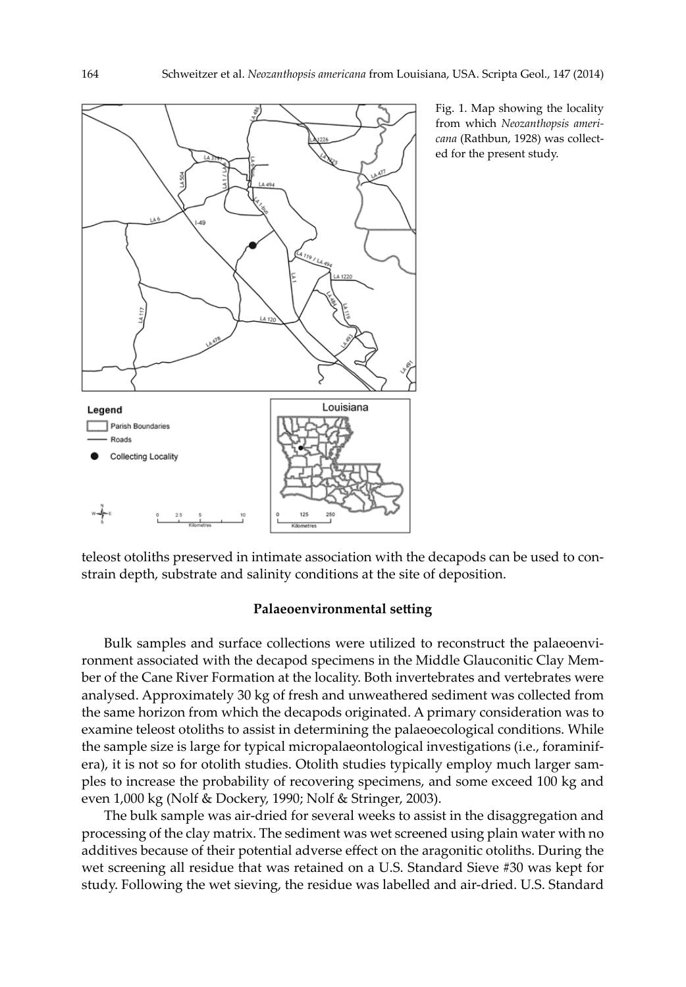

Fig. 1. Map showing the locality from which *Neozanthopsis americana* (Rathbun, 1928) was collected for the present study.

teleost otoliths preserved in intimate association with the decapods can be used to constrain depth, substrate and salinity conditions at the site of deposition.

# **Palaeoenvironmental setting**

Bulk samples and surface collections were utilized to reconstruct the palaeoenvironment associated with the decapod specimens in the Middle Glauconitic Clay Member of the Cane River Formation at the locality. Both invertebrates and vertebrates were analysed. Approximately 30 kg of fresh and unweathered sediment was collected from the same horizon from which the decapods originated. A primary consideration was to examine teleost otoliths to assist in determining the palaeoecological conditions. While the sample size is large for typical micropalaeontological investigations (i.e., foraminifera), it is not so for otolith studies. Otolith studies typically employ much larger samples to increase the probability of recovering specimens, and some exceed 100 kg and even 1,000 kg (Nolf & Dockery, 1990; Nolf & Stringer, 2003).

The bulk sample was air-dried for several weeks to assist in the disaggregation and processing of the clay matrix. The sediment was wet screened using plain water with no additives because of their potential adverse effect on the aragonitic otoliths. During the wet screening all residue that was retained on a U.S. Standard Sieve #30 was kept for study. Following the wet sieving, the residue was labelled and air-dried. U.S. Standard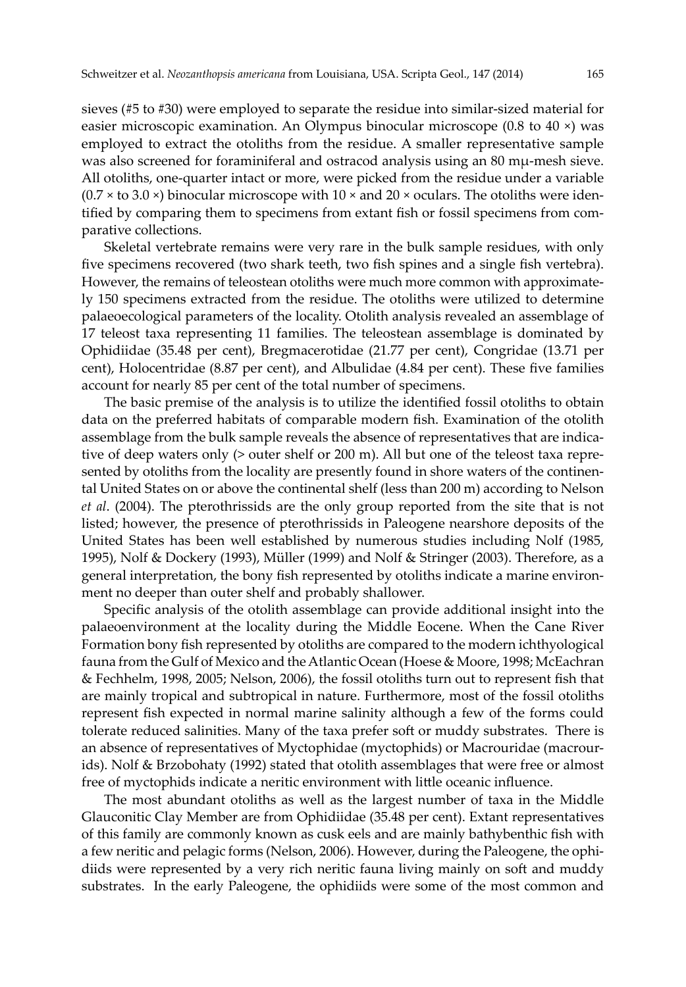sieves (#5 to #30) were employed to separate the residue into similar-sized material for easier microscopic examination. An Olympus binocular microscope (0.8 to 40 ×) was employed to extract the otoliths from the residue. A smaller representative sample was also screened for foraminiferal and ostracod analysis using an 80 mµ-mesh sieve. All otoliths, one-quarter intact or more, were picked from the residue under a variable  $(0.7 \times$  to 3.0  $\times$ ) binocular microscope with 10  $\times$  and 20  $\times$  oculars. The otoliths were identified by comparing them to specimens from extant fish or fossil specimens from comparative collections.

Skeletal vertebrate remains were very rare in the bulk sample residues, with only five specimens recovered (two shark teeth, two fish spines and a single fish vertebra). However, the remains of teleostean otoliths were much more common with approximately 150 specimens extracted from the residue. The otoliths were utilized to determine palaeoecological parameters of the locality. Otolith analysis revealed an assemblage of 17 teleost taxa representing 11 families. The teleostean assemblage is dominated by Ophidiidae (35.48 per cent), Bregmacerotidae (21.77 per cent), Congridae (13.71 per cent), Holocentridae (8.87 per cent), and Albulidae (4.84 per cent). These five families account for nearly 85 per cent of the total number of specimens.

The basic premise of the analysis is to utilize the identified fossil otoliths to obtain data on the preferred habitats of comparable modern fish. Examination of the otolith assemblage from the bulk sample reveals the absence of representatives that are indicative of deep waters only (> outer shelf or 200 m). All but one of the teleost taxa represented by otoliths from the locality are presently found in shore waters of the continental United States on or above the continental shelf (less than 200 m) according to Nelson *et al*. (2004). The pterothrissids are the only group reported from the site that is not listed; however, the presence of pterothrissids in Paleogene nearshore deposits of the United States has been well established by numerous studies including Nolf (1985, 1995), Nolf & Dockery (1993), Müller (1999) and Nolf & Stringer (2003). Therefore, as a general interpretation, the bony fish represented by otoliths indicate a marine environment no deeper than outer shelf and probably shallower.

Specific analysis of the otolith assemblage can provide additional insight into the palaeoenvironment at the locality during the Middle Eocene. When the Cane River Formation bony fish represented by otoliths are compared to the modern ichthyological fauna from the Gulf of Mexico and the Atlantic Ocean (Hoese & Moore, 1998; McEachran & Fechhelm, 1998, 2005; Nelson, 2006), the fossil otoliths turn out to represent fish that are mainly tropical and subtropical in nature. Furthermore, most of the fossil otoliths represent fish expected in normal marine salinity although a few of the forms could tolerate reduced salinities. Many of the taxa prefer soft or muddy substrates. There is an absence of representatives of Myctophidae (myctophids) or Macrouridae (macrourids). Nolf & Brzobohaty (1992) stated that otolith assemblages that were free or almost free of myctophids indicate a neritic environment with little oceanic influence.

The most abundant otoliths as well as the largest number of taxa in the Middle Glauconitic Clay Member are from Ophidiidae (35.48 per cent). Extant representatives of this family are commonly known as cusk eels and are mainly bathybenthic fish with a few neritic and pelagic forms (Nelson, 2006). However, during the Paleogene, the ophidiids were represented by a very rich neritic fauna living mainly on soft and muddy substrates. In the early Paleogene, the ophidiids were some of the most common and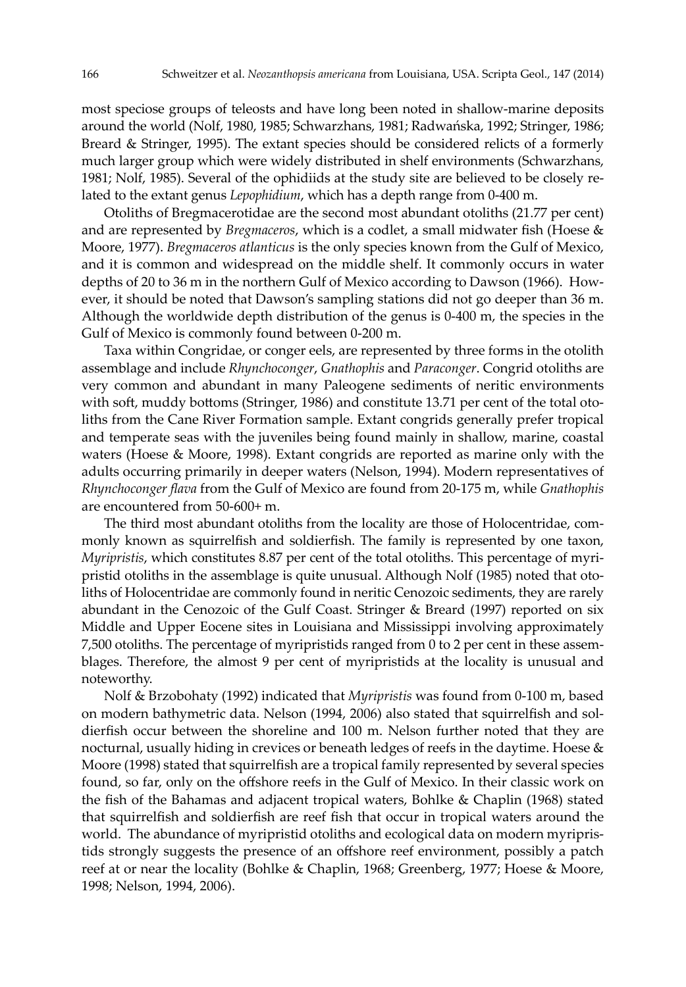most speciose groups of teleosts and have long been noted in shallow-marine deposits around the world (Nolf, 1980, 1985; Schwarzhans, 1981; Radwańska, 1992; Stringer, 1986; Breard & Stringer, 1995). The extant species should be considered relicts of a formerly much larger group which were widely distributed in shelf environments (Schwarzhans, 1981; Nolf, 1985). Several of the ophidiids at the study site are believed to be closely related to the extant genus *Lepophidium*, which has a depth range from 0-400 m.

Otoliths of Bregmacerotidae are the second most abundant otoliths (21.77 per cent) and are represented by *Bregmaceros*, which is a codlet, a small midwater fish (Hoese & Moore, 1977). *Bregmaceros atlanticus* is the only species known from the Gulf of Mexico, and it is common and widespread on the middle shelf. It commonly occurs in water depths of 20 to 36 m in the northern Gulf of Mexico according to Dawson (1966). However, it should be noted that Dawson's sampling stations did not go deeper than 36 m. Although the worldwide depth distribution of the genus is 0-400 m, the species in the Gulf of Mexico is commonly found between 0-200 m.

Taxa within Congridae, or conger eels, are represented by three forms in the otolith assemblage and include *Rhynchoconger*, *Gnathophis* and *Paraconger*. Congrid otoliths are very common and abundant in many Paleogene sediments of neritic environments with soft, muddy bottoms (Stringer, 1986) and constitute 13.71 per cent of the total otoliths from the Cane River Formation sample. Extant congrids generally prefer tropical and temperate seas with the juveniles being found mainly in shallow, marine, coastal waters (Hoese & Moore, 1998). Extant congrids are reported as marine only with the adults occurring primarily in deeper waters (Nelson, 1994). Modern representatives of *Rhynchoconger flava* from the Gulf of Mexico are found from 20-175 m, while *Gnathophis* are encountered from 50-600+ m.

The third most abundant otoliths from the locality are those of Holocentridae, commonly known as squirrelfish and soldierfish. The family is represented by one taxon, *Myripristis*, which constitutes 8.87 per cent of the total otoliths. This percentage of myripristid otoliths in the assemblage is quite unusual. Although Nolf (1985) noted that otoliths of Holocentridae are commonly found in neritic Cenozoic sediments, they are rarely abundant in the Cenozoic of the Gulf Coast. Stringer & Breard (1997) reported on six Middle and Upper Eocene sites in Louisiana and Mississippi involving approximately 7,500 otoliths. The percentage of myripristids ranged from 0 to 2 per cent in these assemblages. Therefore, the almost 9 per cent of myripristids at the locality is unusual and noteworthy.

Nolf & Brzobohaty (1992) indicated that *Myripristis* was found from 0-100 m, based on modern bathymetric data. Nelson (1994, 2006) also stated that squirrelfish and soldierfish occur between the shoreline and 100 m. Nelson further noted that they are nocturnal, usually hiding in crevices or beneath ledges of reefs in the daytime. Hoese & Moore (1998) stated that squirrelfish are a tropical family represented by several species found, so far, only on the offshore reefs in the Gulf of Mexico. In their classic work on the fish of the Bahamas and adjacent tropical waters, Bohlke & Chaplin (1968) stated that squirrelfish and soldierfish are reef fish that occur in tropical waters around the world. The abundance of myripristid otoliths and ecological data on modern myripristids strongly suggests the presence of an offshore reef environment, possibly a patch reef at or near the locality (Bohlke & Chaplin, 1968; Greenberg, 1977; Hoese & Moore, 1998; Nelson, 1994, 2006).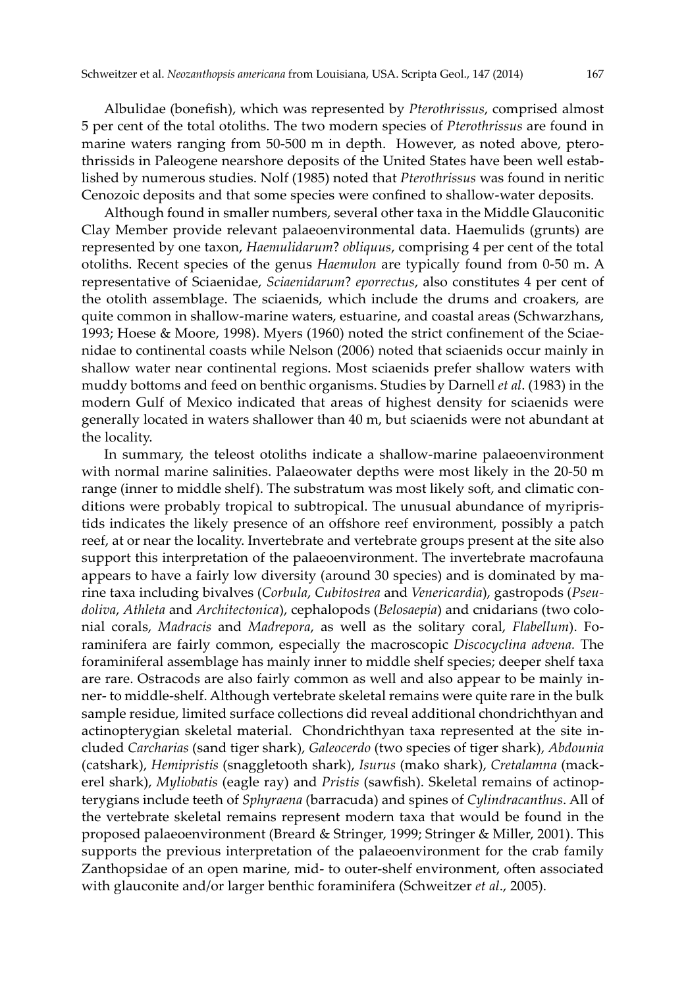Albulidae (bonefish), which was represented by *Pterothrissus*, comprised almost 5 per cent of the total otoliths. The two modern species of *Pterothrissus* are found in marine waters ranging from 50-500 m in depth. However, as noted above, pterothrissids in Paleogene nearshore deposits of the United States have been well established by numerous studies. Nolf (1985) noted that *Pterothrissus* was found in neritic Cenozoic deposits and that some species were confined to shallow-water deposits.

Although found in smaller numbers, several other taxa in the Middle Glauconitic Clay Member provide relevant palaeoenvironmental data. Haemulids (grunts) are represented by one taxon, *Haemulidarum*? *obliquus*, comprising 4 per cent of the total otoliths. Recent species of the genus *Haemulon* are typically found from 0-50 m. A representative of Sciaenidae, *Sciaenidarum*? *eporrectus*, also constitutes 4 per cent of the otolith assemblage. The sciaenids, which include the drums and croakers, are quite common in shallow-marine waters, estuarine, and coastal areas (Schwarzhans, 1993; Hoese & Moore, 1998). Myers (1960) noted the strict confinement of the Sciaenidae to continental coasts while Nelson (2006) noted that sciaenids occur mainly in shallow water near continental regions. Most sciaenids prefer shallow waters with muddy bottoms and feed on benthic organisms. Studies by Darnell *et al*. (1983) in the modern Gulf of Mexico indicated that areas of highest density for sciaenids were generally located in waters shallower than 40 m, but sciaenids were not abundant at the locality.

In summary, the teleost otoliths indicate a shallow-marine palaeoenvironment with normal marine salinities. Palaeowater depths were most likely in the 20-50 m range (inner to middle shelf). The substratum was most likely soft, and climatic conditions were probably tropical to subtropical. The unusual abundance of myripristids indicates the likely presence of an offshore reef environment, possibly a patch reef, at or near the locality. Invertebrate and vertebrate groups present at the site also support this interpretation of the palaeoenvironment. The invertebrate macrofauna appears to have a fairly low diversity (around 30 species) and is dominated by marine taxa including bivalves (*Corbula*, *Cubitostrea* and *Venericardia*), gastropods (*Pseudoliva*, *Athleta* and *Architectonica*), cephalopods (*Belosaepia*) and cnidarians (two colonial corals, *Madracis* and *Madrepora*, as well as the solitary coral, *Flabellum*). Foraminifera are fairly common, especially the macroscopic *Discocyclina advena.* The foraminiferal assemblage has mainly inner to middle shelf species; deeper shelf taxa are rare. Ostracods are also fairly common as well and also appear to be mainly inner- to middle-shelf. Although vertebrate skeletal remains were quite rare in the bulk sample residue, limited surface collections did reveal additional chondrichthyan and actinopterygian skeletal material. Chondrichthyan taxa represented at the site included *Carcharias* (sand tiger shark), *Galeocerdo* (two species of tiger shark), *Abdounia*  (catshark), *Hemipristis* (snaggletooth shark), *Isurus* (mako shark), *Cretalamna* (mackerel shark), *Myliobatis* (eagle ray) and *Pristis* (sawfish). Skeletal remains of actinopterygians include teeth of *Sphyraena* (barracuda) and spines of *Cylindracanthus*. All of the vertebrate skeletal remains represent modern taxa that would be found in the proposed palaeoenvironment (Breard & Stringer, 1999; Stringer & Miller, 2001). This supports the previous interpretation of the palaeoenvironment for the crab family Zanthopsidae of an open marine, mid- to outer-shelf environment, often associated with glauconite and/or larger benthic foraminifera (Schweitzer *et al*., 2005).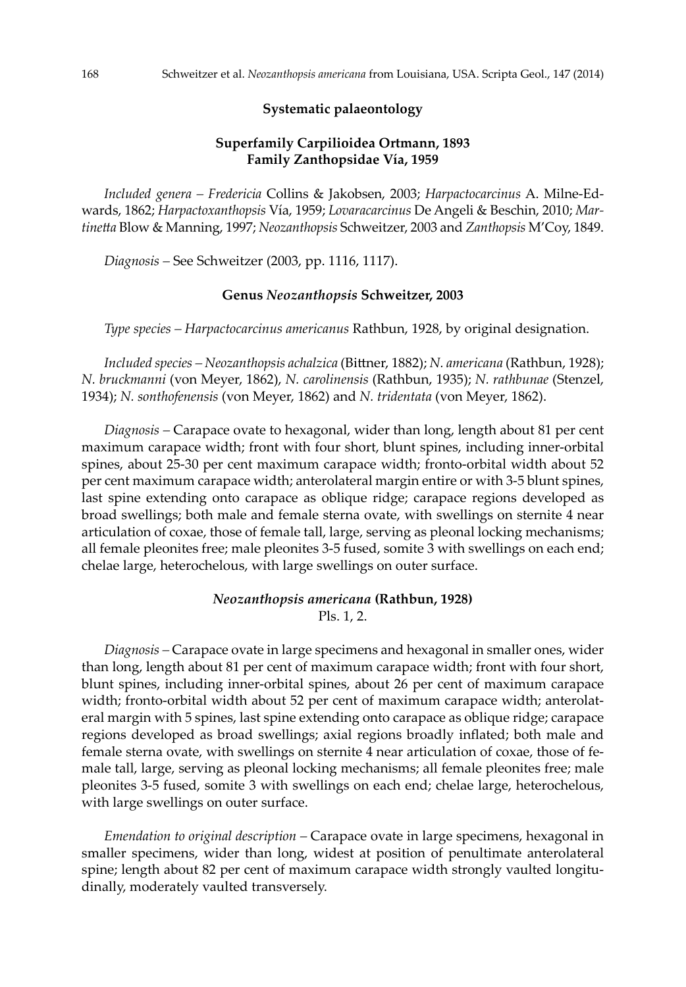#### **Systematic palaeontology**

# **Superfamily Carpilioidea Ortmann, 1893 Family Zanthopsidae Vía, 1959**

*Included genera – Fredericia* Collins & Jakobsen, 2003; *Harpactocarcinus* A. Milne-Edwards, 1862; *Harpactoxanthopsis* Vía, 1959; *Lovaracarcinus* De Angeli & Beschin, 2010; *Martinetta* Blow & Manning, 1997; *Neozanthopsis* Schweitzer, 2003 and *Zanthopsis* M'Coy, 1849.

*Diagnosis –* See Schweitzer (2003, pp. 1116, 1117).

#### **Genus** *Neozanthopsis* **Schweitzer, 2003**

*Type species – Harpactocarcinus americanus* Rathbun, 1928, by original designation.

*Included species – Neozanthopsis achalzica* (Bittner, 1882); *N. americana* (Rathbun, 1928); *N. bruckmanni* (von Meyer, 1862), *N. carolinensis* (Rathbun, 1935); *N. rathbunae* (Stenzel, 1934); *N. sonthofenensis* (von Meyer, 1862) and *N. tridentata* (von Meyer, 1862).

*Diagnosis –* Carapace ovate to hexagonal, wider than long, length about 81 per cent maximum carapace width; front with four short, blunt spines, including inner-orbital spines, about 25-30 per cent maximum carapace width; fronto-orbital width about 52 per cent maximum carapace width; anterolateral margin entire or with 3-5 blunt spines, last spine extending onto carapace as oblique ridge; carapace regions developed as broad swellings; both male and female sterna ovate, with swellings on sternite 4 near articulation of coxae, those of female tall, large, serving as pleonal locking mechanisms; all female pleonites free; male pleonites 3-5 fused, somite 3 with swellings on each end; chelae large, heterochelous, with large swellings on outer surface.

# *Neozanthopsis americana* **(Rathbun, 1928)** Pls. 1, 2.

*Diagnosis –* Carapace ovate in large specimens and hexagonal in smaller ones, wider than long, length about 81 per cent of maximum carapace width; front with four short, blunt spines, including inner-orbital spines, about 26 per cent of maximum carapace width; fronto-orbital width about 52 per cent of maximum carapace width; anterolateral margin with 5 spines, last spine extending onto carapace as oblique ridge; carapace regions developed as broad swellings; axial regions broadly inflated; both male and female sterna ovate, with swellings on sternite 4 near articulation of coxae, those of female tall, large, serving as pleonal locking mechanisms; all female pleonites free; male pleonites 3-5 fused, somite 3 with swellings on each end; chelae large, heterochelous, with large swellings on outer surface.

*Emendation to original description –* Carapace ovate in large specimens, hexagonal in smaller specimens, wider than long, widest at position of penultimate anterolateral spine; length about 82 per cent of maximum carapace width strongly vaulted longitudinally, moderately vaulted transversely.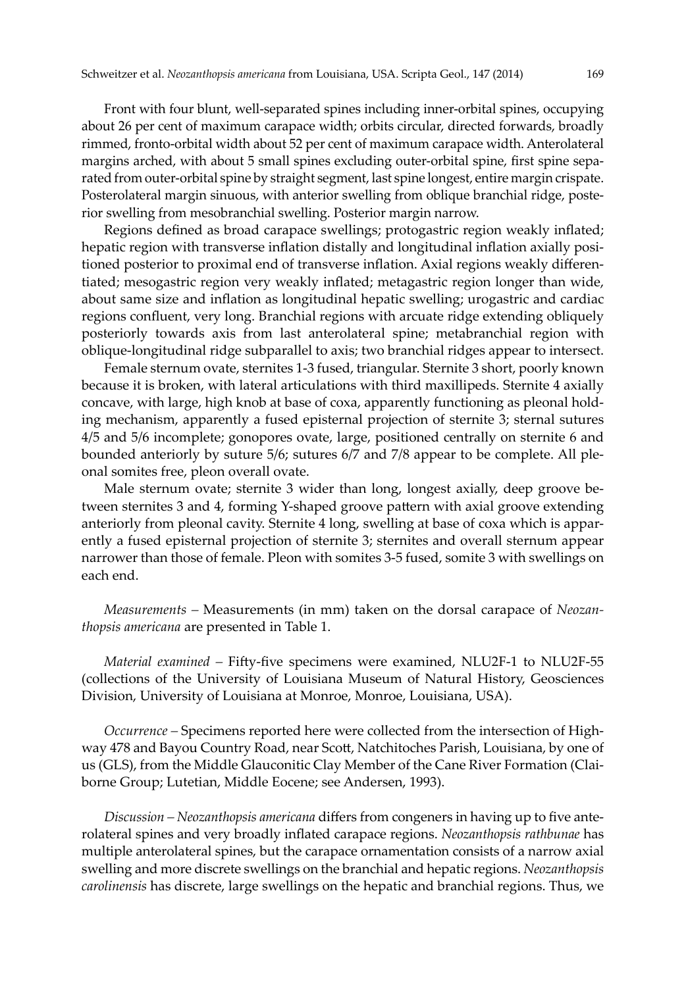Front with four blunt, well-separated spines including inner-orbital spines, occupying about 26 per cent of maximum carapace width; orbits circular, directed forwards, broadly rimmed, fronto-orbital width about 52 per cent of maximum carapace width. Anterolateral margins arched, with about 5 small spines excluding outer-orbital spine, first spine separated from outer-orbital spine by straight segment, last spine longest, entire margin crispate. Posterolateral margin sinuous, with anterior swelling from oblique branchial ridge, posterior swelling from mesobranchial swelling. Posterior margin narrow.

Regions defined as broad carapace swellings; protogastric region weakly inflated; hepatic region with transverse inflation distally and longitudinal inflation axially positioned posterior to proximal end of transverse inflation. Axial regions weakly differentiated; mesogastric region very weakly inflated; metagastric region longer than wide, about same size and inflation as longitudinal hepatic swelling; urogastric and cardiac regions confluent, very long. Branchial regions with arcuate ridge extending obliquely posteriorly towards axis from last anterolateral spine; metabranchial region with oblique-longitudinal ridge subparallel to axis; two branchial ridges appear to intersect.

Female sternum ovate, sternites 1-3 fused, triangular. Sternite 3 short, poorly known because it is broken, with lateral articulations with third maxillipeds. Sternite 4 axially concave, with large, high knob at base of coxa, apparently functioning as pleonal holding mechanism, apparently a fused episternal projection of sternite 3; sternal sutures 4/5 and 5/6 incomplete; gonopores ovate, large, positioned centrally on sternite 6 and bounded anteriorly by suture 5/6; sutures 6/7 and 7/8 appear to be complete. All pleonal somites free, pleon overall ovate.

Male sternum ovate; sternite 3 wider than long, longest axially, deep groove between sternites 3 and 4, forming Y-shaped groove pattern with axial groove extending anteriorly from pleonal cavity. Sternite 4 long, swelling at base of coxa which is apparently a fused episternal projection of sternite 3; sternites and overall sternum appear narrower than those of female. Pleon with somites 3-5 fused, somite 3 with swellings on each end.

*Measurements –* Measurements (in mm) taken on the dorsal carapace of *Neozanthopsis americana* are presented in Table 1.

*Material examined –* Fifty-five specimens were examined, NLU2F-1 to NLU2F-55 (collections of the University of Louisiana Museum of Natural History, Geosciences Division, University of Louisiana at Monroe, Monroe, Louisiana, USA).

*Occurrence –* Specimens reported here were collected from the intersection of Highway 478 and Bayou Country Road, near Scott, Natchitoches Parish, Louisiana, by one of us (GLS), from the Middle Glauconitic Clay Member of the Cane River Formation (Claiborne Group; Lutetian, Middle Eocene; see Andersen, 1993).

*Discussion – Neozanthopsis americana* differs from congeners in having up to five anterolateral spines and very broadly inflated carapace regions. *Neozanthopsis rathbunae* has multiple anterolateral spines, but the carapace ornamentation consists of a narrow axial swelling and more discrete swellings on the branchial and hepatic regions. *Neozanthopsis carolinensis* has discrete, large swellings on the hepatic and branchial regions. Thus, we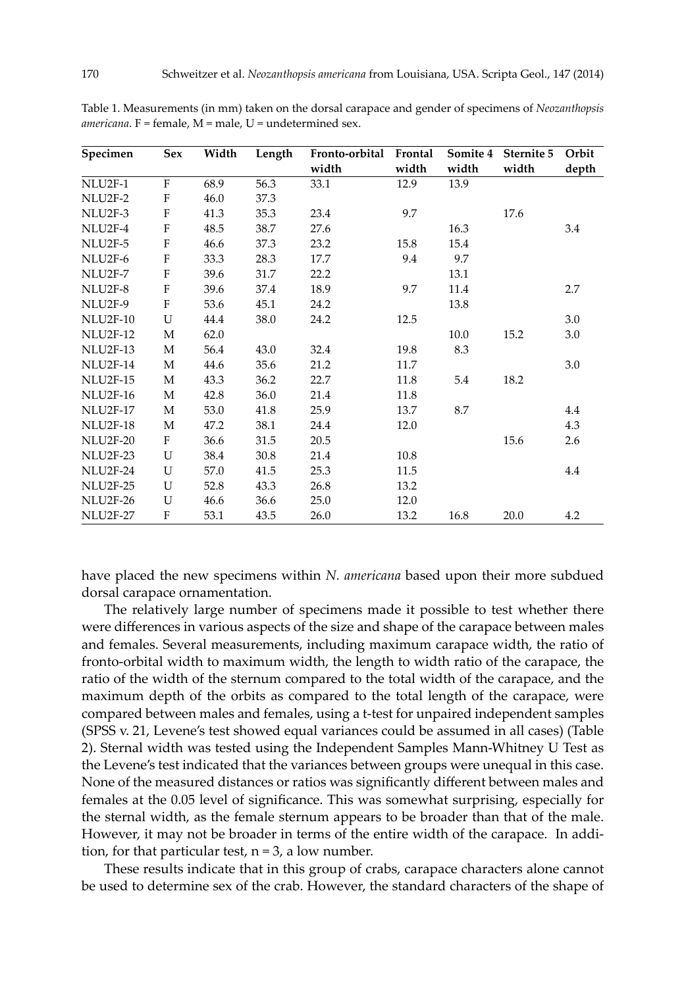| Specimen        | Sex            | Width | Length | Fronto-orbital | Frontal | Somite 4 | <b>Sternite 5</b> | Orbit |
|-----------------|----------------|-------|--------|----------------|---------|----------|-------------------|-------|
|                 |                |       |        | width          | width   | width    | width             | depth |
| NLU2F-1         | F              | 68.9  | 56.3   | 33.1           | 12.9    | 13.9     |                   |       |
| NLU2F-2         | F              | 46.0  | 37.3   |                |         |          |                   |       |
| NLU2F-3         | F              | 41.3  | 35.3   | 23.4           | 9.7     |          | 17.6              |       |
| NLU2F-4         | $\mathbf F$    | 48.5  | 38.7   | 27.6           |         | 16.3     |                   | 3.4   |
| NLU2F-5         | F              | 46.6  | 37.3   | 23.2           | 15.8    | 15.4     |                   |       |
| NLU2F-6         | F              | 33.3  | 28.3   | 17.7           | 9.4     | 9.7      |                   |       |
| NLU2F-7         | F              | 39.6  | 31.7   | 22.2           |         | 13.1     |                   |       |
| NLU2F-8         | $\overline{F}$ | 39.6  | 37.4   | 18.9           | 9.7     | 11.4     |                   | 2.7   |
| NLU2F-9         | F              | 53.6  | 45.1   | 24.2           |         | 13.8     |                   |       |
| <b>NLU2F-10</b> | U              | 44.4  | 38.0   | 24.2           | 12.5    |          |                   | 3.0   |
| <b>NLU2F-12</b> | М              | 62.0  |        |                |         | 10.0     | 15.2              | 3.0   |
| <b>NLU2F-13</b> | М              | 56.4  | 43.0   | 32.4           | 19.8    | 8.3      |                   |       |
| <b>NLU2F-14</b> | M              | 44.6  | 35.6   | 21.2           | 11.7    |          |                   | 3.0   |
| <b>NLU2F-15</b> | М              | 43.3  | 36.2   | 22.7           | 11.8    | 5.4      | 18.2              |       |
| <b>NLU2F-16</b> | М              | 42.8  | 36.0   | 21.4           | 11.8    |          |                   |       |
| <b>NLU2F-17</b> | М              | 53.0  | 41.8   | 25.9           | 13.7    | 8.7      |                   | 4.4   |
| <b>NLU2F-18</b> | М              | 47.2  | 38.1   | 24.4           | 12.0    |          |                   | 4.3   |
| <b>NLU2F-20</b> | F              | 36.6  | 31.5   | 20.5           |         |          | 15.6              | 2.6   |
| <b>NLU2F-23</b> | U              | 38.4  | 30.8   | 21.4           | 10.8    |          |                   |       |
| <b>NLU2F-24</b> | U              | 57.0  | 41.5   | 25.3           | 11.5    |          |                   | 4.4   |
| <b>NLU2F-25</b> | U              | 52.8  | 43.3   | 26.8           | 13.2    |          |                   |       |
| <b>NLU2F-26</b> | U              | 46.6  | 36.6   | 25.0           | 12.0    |          |                   |       |
| <b>NLU2F-27</b> | F              | 53.1  | 43.5   | 26.0           | 13.2    | 16.8     | 20.0              | 4.2   |

Table 1. Measurements (in mm) taken on the dorsal carapace and gender of specimens of *Neozanthopsis americana*. F = female, M = male, U = undetermined sex.

have placed the new specimens within *N. americana* based upon their more subdued dorsal carapace ornamentation.

The relatively large number of specimens made it possible to test whether there were differences in various aspects of the size and shape of the carapace between males and females. Several measurements, including maximum carapace width, the ratio of fronto-orbital width to maximum width, the length to width ratio of the carapace, the ratio of the width of the sternum compared to the total width of the carapace, and the maximum depth of the orbits as compared to the total length of the carapace, were compared between males and females, using a t-test for unpaired independent samples (SPSS v. 21, Levene's test showed equal variances could be assumed in all cases) (Table 2). Sternal width was tested using the Independent Samples Mann-Whitney U Test as the Levene's test indicated that the variances between groups were unequal in this case. None of the measured distances or ratios was significantly different between males and females at the 0.05 level of significance. This was somewhat surprising, especially for the sternal width, as the female sternum appears to be broader than that of the male. However, it may not be broader in terms of the entire width of the carapace. In addition, for that particular test, n = 3, a low number.

These results indicate that in this group of crabs, carapace characters alone cannot be used to determine sex of the crab. However, the standard characters of the shape of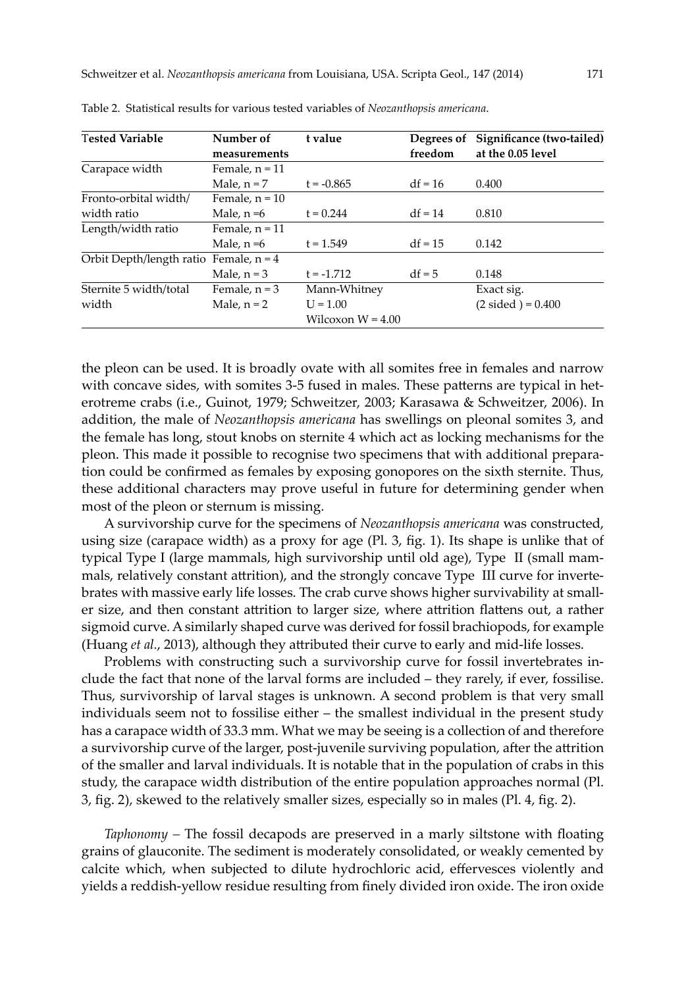| <b>Tested Variable</b>                   | Number of        | t value             | Degrees of | Significance (two-tailed)   |
|------------------------------------------|------------------|---------------------|------------|-----------------------------|
|                                          | measurements     |                     | freedom    | at the 0.05 level           |
| Carapace width                           | Female, $n = 11$ |                     |            |                             |
|                                          | Male, $n = 7$    | $t = -0.865$        | $df = 16$  | 0.400                       |
| Fronto-orbital width/                    | Female, $n = 10$ |                     |            |                             |
| width ratio                              | Male, $n = 6$    | $t = 0.244$         | $df = 14$  | 0.810                       |
| Length/width ratio                       | Female, $n = 11$ |                     |            |                             |
|                                          | Male, $n = 6$    | $t = 1.549$         | $df = 15$  | 0.142                       |
| Orbit Depth/length ratio Female, $n = 4$ |                  |                     |            |                             |
|                                          | Male, $n = 3$    | $t = -1.712$        | $df = 5$   | 0.148                       |
| Sternite 5 width/total                   | Female, $n = 3$  | Mann-Whitney        |            | Exact sig.                  |
| width                                    | Male, $n = 2$    | $U = 1.00$          |            | $(2 \text{ sided}) = 0.400$ |
|                                          |                  | Wilcoxon $W = 4.00$ |            |                             |

Table 2. Statistical results for various tested variables of *Neozanthopsis americana*.

the pleon can be used. It is broadly ovate with all somites free in females and narrow with concave sides, with somites 3-5 fused in males. These patterns are typical in heterotreme crabs (i.e., Guinot, 1979; Schweitzer, 2003; Karasawa & Schweitzer, 2006). In addition, the male of *Neozanthopsis americana* has swellings on pleonal somites 3, and the female has long, stout knobs on sternite 4 which act as locking mechanisms for the pleon. This made it possible to recognise two specimens that with additional preparation could be confirmed as females by exposing gonopores on the sixth sternite. Thus, these additional characters may prove useful in future for determining gender when most of the pleon or sternum is missing.

A survivorship curve for the specimens of *Neozanthopsis americana* was constructed, using size (carapace width) as a proxy for age (Pl. 3, fig. 1). Its shape is unlike that of typical Type I (large mammals, high survivorship until old age), Type II (small mammals, relatively constant attrition), and the strongly concave Type III curve for invertebrates with massive early life losses. The crab curve shows higher survivability at smaller size, and then constant attrition to larger size, where attrition flattens out, a rather sigmoid curve. A similarly shaped curve was derived for fossil brachiopods, for example (Huang *et al.*, 2013), although they attributed their curve to early and mid-life losses.

Problems with constructing such a survivorship curve for fossil invertebrates include the fact that none of the larval forms are included – they rarely, if ever, fossilise. Thus, survivorship of larval stages is unknown. A second problem is that very small individuals seem not to fossilise either – the smallest individual in the present study has a carapace width of 33.3 mm. What we may be seeing is a collection of and therefore a survivorship curve of the larger, post-juvenile surviving population, after the attrition of the smaller and larval individuals. It is notable that in the population of crabs in this study, the carapace width distribution of the entire population approaches normal (Pl. 3, fig. 2), skewed to the relatively smaller sizes, especially so in males (Pl. 4, fig. 2).

*Taphonomy –* The fossil decapods are preserved in a marly siltstone with floating grains of glauconite. The sediment is moderately consolidated, or weakly cemented by calcite which, when subjected to dilute hydrochloric acid, effervesces violently and yields a reddish-yellow residue resulting from finely divided iron oxide. The iron oxide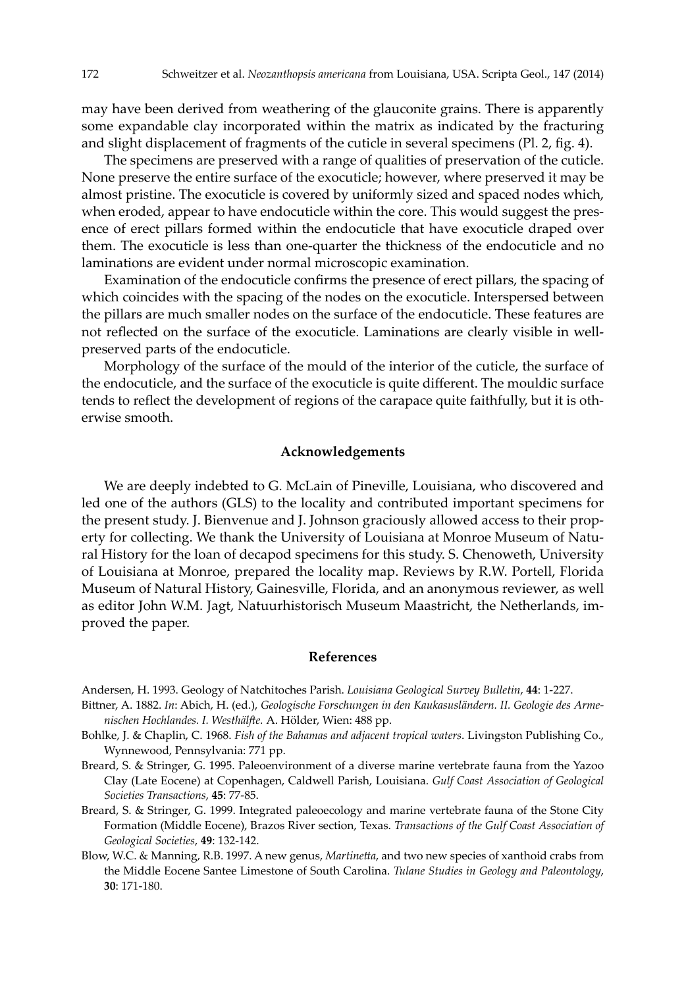may have been derived from weathering of the glauconite grains. There is apparently some expandable clay incorporated within the matrix as indicated by the fracturing and slight displacement of fragments of the cuticle in several specimens (Pl. 2, fig. 4).

The specimens are preserved with a range of qualities of preservation of the cuticle. None preserve the entire surface of the exocuticle; however, where preserved it may be almost pristine. The exocuticle is covered by uniformly sized and spaced nodes which, when eroded, appear to have endocuticle within the core. This would suggest the presence of erect pillars formed within the endocuticle that have exocuticle draped over them. The exocuticle is less than one-quarter the thickness of the endocuticle and no laminations are evident under normal microscopic examination.

Examination of the endocuticle confirms the presence of erect pillars, the spacing of which coincides with the spacing of the nodes on the exocuticle. Interspersed between the pillars are much smaller nodes on the surface of the endocuticle. These features are not reflected on the surface of the exocuticle. Laminations are clearly visible in wellpreserved parts of the endocuticle.

Morphology of the surface of the mould of the interior of the cuticle, the surface of the endocuticle, and the surface of the exocuticle is quite different. The mouldic surface tends to reflect the development of regions of the carapace quite faithfully, but it is otherwise smooth.

#### **Acknowledgements**

We are deeply indebted to G. McLain of Pineville, Louisiana, who discovered and led one of the authors (GLS) to the locality and contributed important specimens for the present study. J. Bienvenue and J. Johnson graciously allowed access to their property for collecting. We thank the University of Louisiana at Monroe Museum of Natural History for the loan of decapod specimens for this study. S. Chenoweth, University of Louisiana at Monroe, prepared the locality map. Reviews by R.W. Portell, Florida Museum of Natural History, Gainesville, Florida, and an anonymous reviewer, as well as editor John W.M. Jagt, Natuurhistorisch Museum Maastricht, the Netherlands, improved the paper.

# **References**

Andersen, H. 1993. Geology of Natchitoches Parish. *Louisiana Geological Survey Bulletin*, **44**: 1-227.

- Bittner, A. 1882. *In*: Abich, H. (ed.), *Geologische Forschungen in den Kaukasusländern. II. Geologie des Armenischen Hochlandes. I. Westhälfte.* A. Hölder, Wien: 488 pp.
- Bohlke, J. & Chaplin, C. 1968. *Fish of the Bahamas and adjacent tropical waters*. Livingston Publishing Co., Wynnewood, Pennsylvania: 771 pp.
- Breard, S. & Stringer, G. 1995. Paleoenvironment of a diverse marine vertebrate fauna from the Yazoo Clay (Late Eocene) at Copenhagen, Caldwell Parish, Louisiana. *Gulf Coast Association of Geological Societies Transactions*, **45**: 77-85.
- Breard, S. & Stringer, G. 1999. Integrated paleoecology and marine vertebrate fauna of the Stone City Formation (Middle Eocene), Brazos River section, Texas. *Transactions of the Gulf Coast Association of Geological Societies*, **49**: 132-142.
- Blow, W.C. & Manning, R.B. 1997. A new genus, *Martinetta*, and two new species of xanthoid crabs from the Middle Eocene Santee Limestone of South Carolina. *Tulane Studies in Geology and Paleontology*, **30**: 171-180.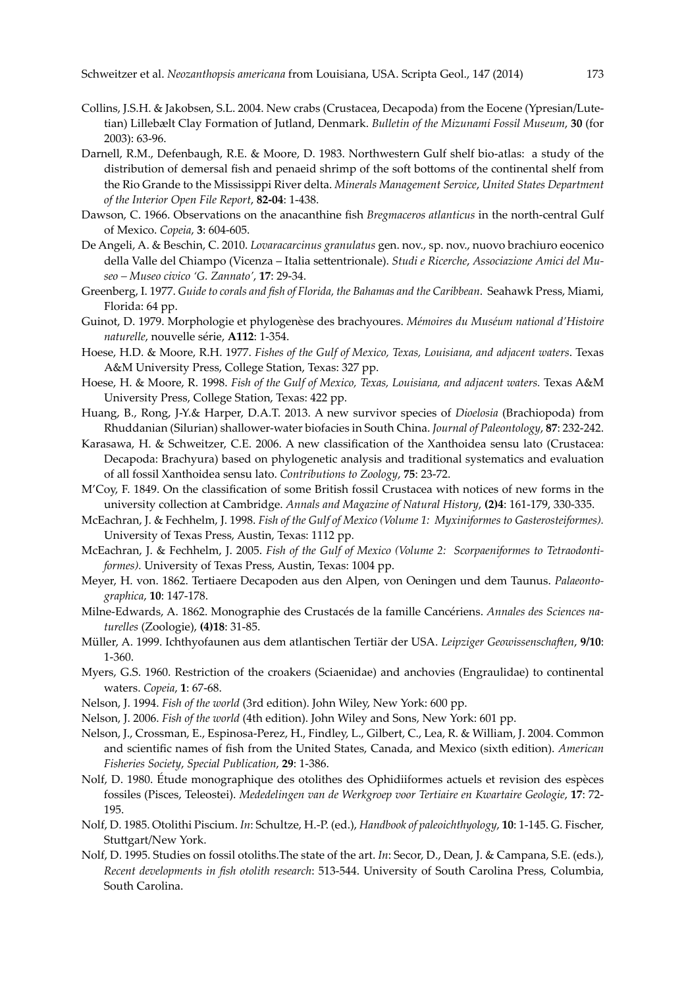- Collins, J.S.H. & Jakobsen, S.L. 2004. New crabs (Crustacea, Decapoda) from the Eocene (Ypresian/Lutetian) Lillebælt Clay Formation of Jutland, Denmark. *Bulletin of the Mizunami Fossil Museum*, **30** (for 2003): 63-96.
- Darnell, R.M., Defenbaugh, R.E. & Moore, D. 1983. Northwestern Gulf shelf bio-atlas: a study of the distribution of demersal fish and penaeid shrimp of the soft bottoms of the continental shelf from the Rio Grande to the Mississippi River delta. *Minerals Management Service*, *United States Department of the Interior Open File Report*, **82-04**: 1-438.
- Dawson, C. 1966. Observations on the anacanthine fish *Bregmaceros atlanticus* in the north-central Gulf of Mexico. *Copeia*, **3**: 604-605.
- De Angeli, A. & Beschin, C. 2010. *Lovaracarcinus granulatus* gen. nov., sp. nov., nuovo brachiuro eocenico della Valle del Chiampo (Vicenza – Italia settentrionale). *Studi e Ricerche*, *Associazione Amici del Museo – Museo civico 'G. Zannato'*, **17**: 29-34.
- Greenberg, I. 1977. *Guide to corals and fish of Florida, the Bahamas and the Caribbean*. Seahawk Press, Miami, Florida: 64 pp.
- Guinot, D. 1979. Morphologie et phylogenèse des brachyoures. *Mémoires du Muséum national d'Histoire naturelle*, nouvelle série, **A112**: 1-354.
- Hoese, H.D. & Moore, R.H. 1977. *Fishes of the Gulf of Mexico, Texas, Louisiana, and adjacent waters*. Texas A&M University Press, College Station, Texas: 327 pp.
- Hoese, H. & Moore, R. 1998. *Fish of the Gulf of Mexico, Texas, Louisiana, and adjacent waters*. Texas A&M University Press, College Station, Texas: 422 pp.
- Huang, B., Rong, J-Y.& Harper, D.A.T. 2013. A new survivor species of *Dioelosia* (Brachiopoda) from Rhuddanian (Silurian) shallower-water biofacies in South China. *Journal of Paleontology*, **87**: 232-242.
- Karasawa, H. & Schweitzer, C.E. 2006. A new classification of the Xanthoidea sensu lato (Crustacea: Decapoda: Brachyura) based on phylogenetic analysis and traditional systematics and evaluation of all fossil Xanthoidea sensu lato. *Contributions to Zoology*, **75**: 23-72.
- M'Coy, F. 1849. On the classification of some British fossil Crustacea with notices of new forms in the university collection at Cambridge. *Annals and Magazine of Natural History*, **(2)4**: 161-179, 330-335.
- McEachran, J. & Fechhelm, J. 1998. *Fish of the Gulf of Mexico (Volume 1: Myxiniformes to Gasterosteiformes).*  University of Texas Press, Austin, Texas: 1112 pp.
- McEachran, J. & Fechhelm, J. 2005. *Fish of the Gulf of Mexico (Volume 2: Scorpaeniformes to Tetraodontiformes).* University of Texas Press, Austin, Texas: 1004 pp.
- Meyer, H. von. 1862. Tertiaere Decapoden aus den Alpen, von Oeningen und dem Taunus. *Palaeontographica*, **10**: 147-178.
- Milne-Edwards, A. 1862. Monographie des Crustacés de la famille Cancériens. *Annales des Sciences naturelles* (Zoologie), **(4)18**: 31-85.
- Müller, A. 1999. Ichthyofaunen aus dem atlantischen Tertiär der USA. *Leipziger Geowissenschaften*, **9/10**: 1-360.
- Myers, G.S. 1960. Restriction of the croakers (Sciaenidae) and anchovies (Engraulidae) to continental waters. *Copeia*, **1**: 67-68.
- Nelson, J. 1994. *Fish of the world* (3rd edition). John Wiley, New York: 600 pp.
- Nelson, J. 2006. *Fish of the world* (4th edition). John Wiley and Sons, New York: 601 pp.
- Nelson, J., Crossman, E., Espinosa-Perez, H., Findley, L., Gilbert, C., Lea, R. & William, J. 2004. Common and scientific names of fish from the United States, Canada, and Mexico (sixth edition). *American Fisheries Society*, *Special Publication*, **29**: 1-386.
- Nolf, D. 1980. Étude monographique des otolithes des Ophidiiformes actuels et revision des espèces fossiles (Pisces, Teleostei). *Mededelingen van de Werkgroep voor Tertiaire en Kwartaire Geologie*, **17**: 72- 195.
- Nolf, D. 1985. Otolithi Piscium. *In*: Schultze, H.-P. (ed.), *Handbook of paleoichthyology*, **10**: 1-145. G. Fischer, Stuttgart/New York.
- Nolf, D. 1995. Studies on fossil otoliths.The state of the art. *In*: Secor, D., Dean, J. & Campana, S.E. (eds.), *Recent developments in fish otolith research*: 513-544. University of South Carolina Press, Columbia, South Carolina.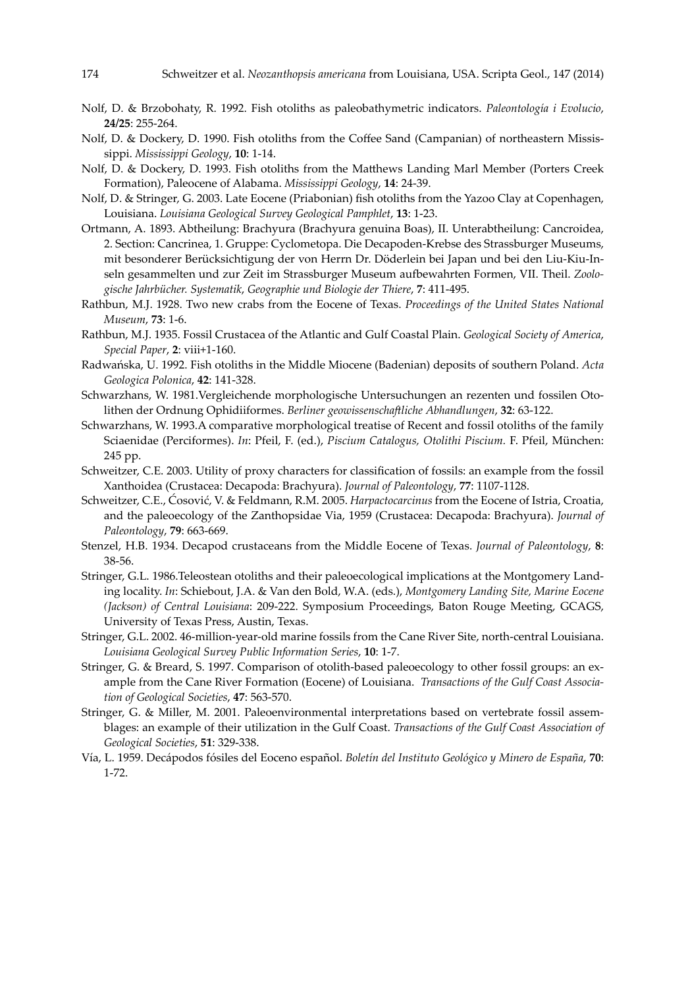- Nolf, D. & Brzobohaty, R. 1992. Fish otoliths as paleobathymetric indicators. *Paleontología i Evolucio*, **24/25**: 255-264.
- Nolf, D. & Dockery, D. 1990. Fish otoliths from the Coffee Sand (Campanian) of northeastern Mississippi. *Mississippi Geology*, **10**: 1-14.
- Nolf, D. & Dockery, D. 1993. Fish otoliths from the Matthews Landing Marl Member (Porters Creek Formation), Paleocene of Alabama. *Mississippi Geology*, **14**: 24-39.
- Nolf, D. & Stringer, G. 2003. Late Eocene (Priabonian) fish otoliths from the Yazoo Clay at Copenhagen, Louisiana. *Louisiana Geological Survey Geological Pamphlet*, **13**: 1-23.
- Ortmann, A. 1893. Abtheilung: Brachyura (Brachyura genuina Boas), II. Unterabtheilung: Cancroidea, 2. Section: Cancrinea, 1. Gruppe: Cyclometopa. Die Decapoden-Krebse des Strassburger Museums, mit besonderer Berücksichtigung der von Herrn Dr. Döderlein bei Japan und bei den Liu-Kiu-Inseln gesammelten und zur Zeit im Strassburger Museum aufbewahrten Formen, VII. Theil. *Zoologische Jahrbücher. Systematik*, *Geographie und Biologie der Thiere*, **7**: 411-495.
- Rathbun, M.J. 1928. Two new crabs from the Eocene of Texas. *Proceedings of the United States National Museum*, **73**: 1-6.
- Rathbun, M.J. 1935. Fossil Crustacea of the Atlantic and Gulf Coastal Plain. *Geological Society of America*, *Special Paper*, **2**: viii+1-160.
- Radwańska, U. 1992. Fish otoliths in the Middle Miocene (Badenian) deposits of southern Poland. *Acta Geologica Polonica*, **42**: 141-328.
- Schwarzhans, W. 1981.Vergleichende morphologische Untersuchungen an rezenten und fossilen Otolithen der Ordnung Ophidiiformes. *Berliner geowissenschaftliche Abhandlungen*, **32**: 63-122.
- Schwarzhans, W. 1993.A comparative morphological treatise of Recent and fossil otoliths of the family Sciaenidae (Perciformes). *In*: Pfeil, F. (ed.), *Piscium Catalogus, Otolithi Piscium.* F. Pfeil, München: 245 pp.
- Schweitzer, C.E. 2003. Utility of proxy characters for classification of fossils: an example from the fossil Xanthoidea (Crustacea: Decapoda: Brachyura). *Journal of Paleontology*, **77**: 1107-1128.
- Schweitzer, C.E., Ćosović, V. & Feldmann, R.M. 2005. *Harpactocarcinus* from the Eocene of Istria, Croatia, and the paleoecology of the Zanthopsidae Via, 1959 (Crustacea: Decapoda: Brachyura). *Journal of Paleontology*, **79**: 663-669.
- Stenzel, H.B. 1934. Decapod crustaceans from the Middle Eocene of Texas. *Journal of Paleontology*, **8**: 38-56.
- Stringer, G.L. 1986.Teleostean otoliths and their paleoecological implications at the Montgomery Landing locality. *In*: Schiebout, J.A. & Van den Bold, W.A. (eds.), *Montgomery Landing Site, Marine Eocene (Jackson) of Central Louisiana*: 209-222. Symposium Proceedings, Baton Rouge Meeting, GCAGS, University of Texas Press, Austin, Texas.
- Stringer, G.L. 2002. 46-million-year-old marine fossils from the Cane River Site, north-central Louisiana. *Louisiana Geological Survey Public Information Series*, **10**: 1-7.
- Stringer, G. & Breard, S. 1997. Comparison of otolith-based paleoecology to other fossil groups: an example from the Cane River Formation (Eocene) of Louisiana. *Transactions of the Gulf Coast Association of Geological Societies*, **47**: 563-570.
- Stringer, G. & Miller, M. 2001. Paleoenvironmental interpretations based on vertebrate fossil assemblages: an example of their utilization in the Gulf Coast. *Transactions of the Gulf Coast Association of Geological Societies*, **51**: 329-338.
- Vía, L. 1959. Decápodos fósiles del Eoceno español. *Boletín del Instituto Geológico y Minero de España*, **70**: 1-72.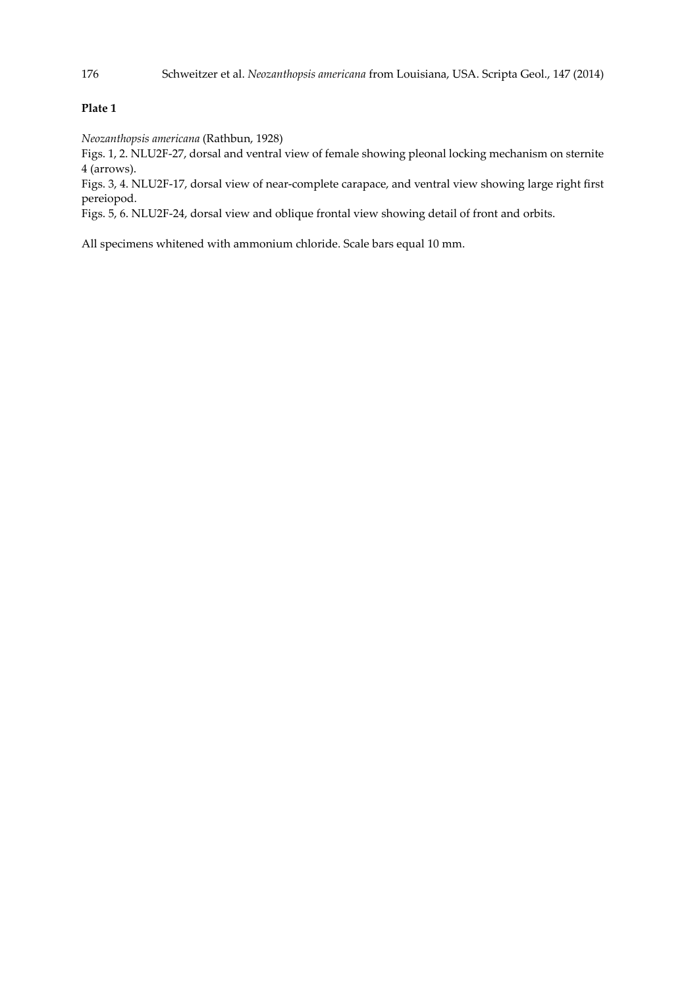*Neozanthopsis americana* (Rathbun, 1928)

Figs. 1, 2. NLU2F-27, dorsal and ventral view of female showing pleonal locking mechanism on sternite 4 (arrows).

Figs. 3, 4. NLU2F-17, dorsal view of near-complete carapace, and ventral view showing large right first pereiopod.

Figs. 5, 6. NLU2F-24, dorsal view and oblique frontal view showing detail of front and orbits.

All specimens whitened with ammonium chloride. Scale bars equal 10 mm.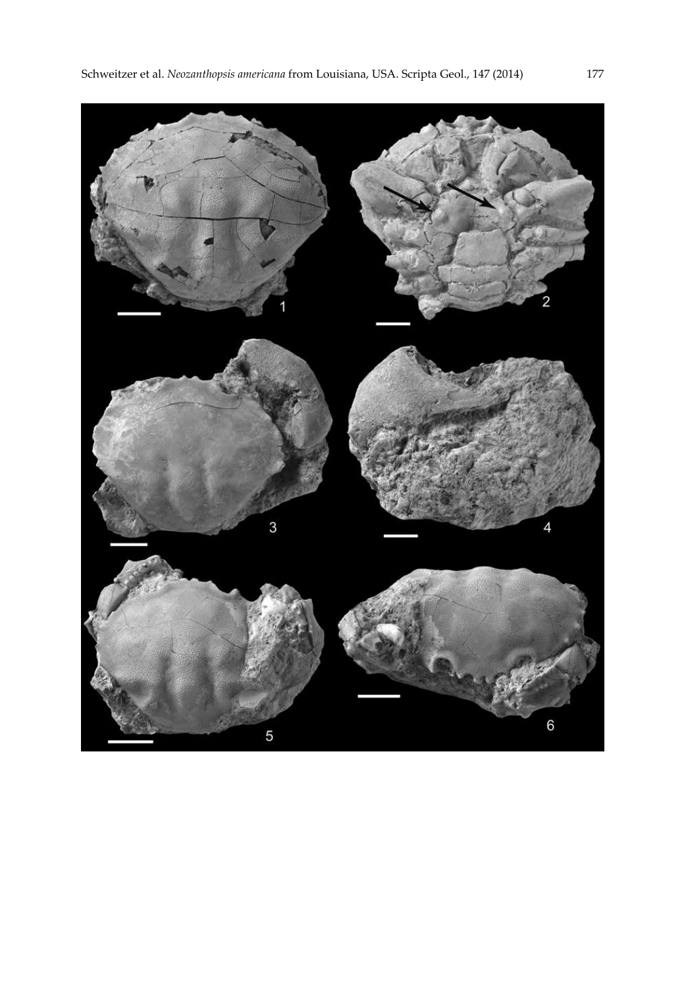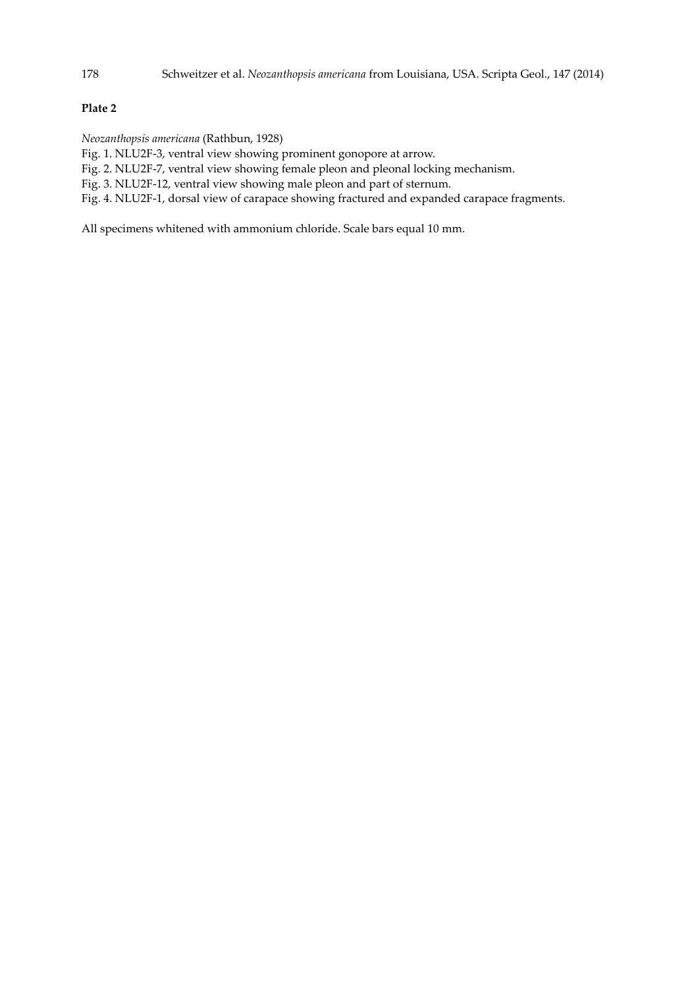*Neozanthopsis americana* (Rathbun, 1928)

Fig. 1. NLU2F-3, ventral view showing prominent gonopore at arrow.

Fig. 2. NLU2F-7, ventral view showing female pleon and pleonal locking mechanism.

Fig. 3. NLU2F-12, ventral view showing male pleon and part of sternum.

Fig. 4. NLU2F-1, dorsal view of carapace showing fractured and expanded carapace fragments.

All specimens whitened with ammonium chloride. Scale bars equal 10 mm.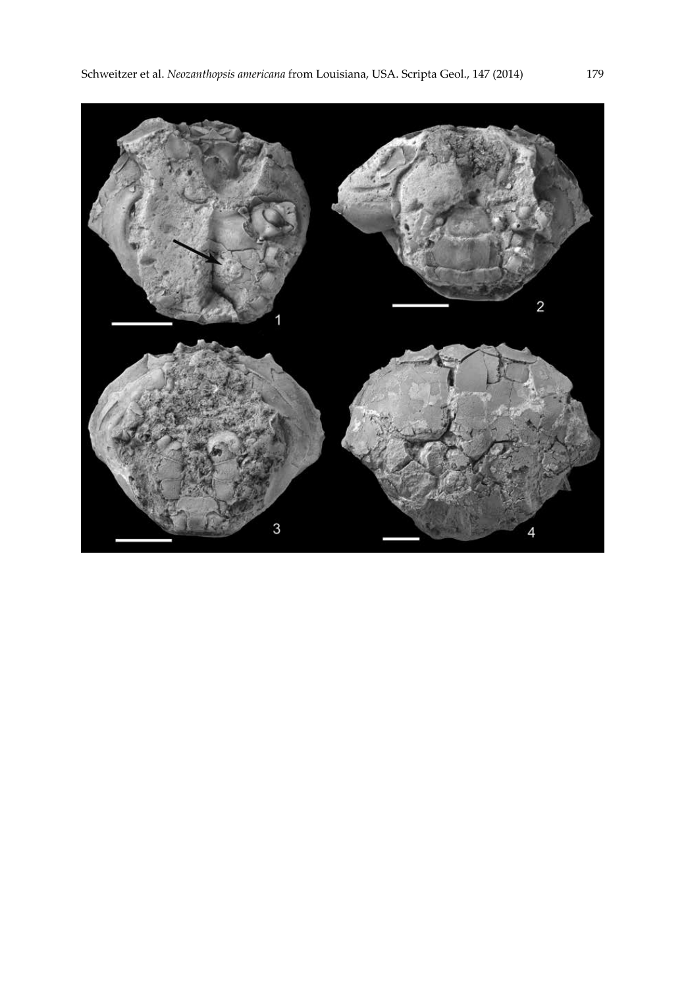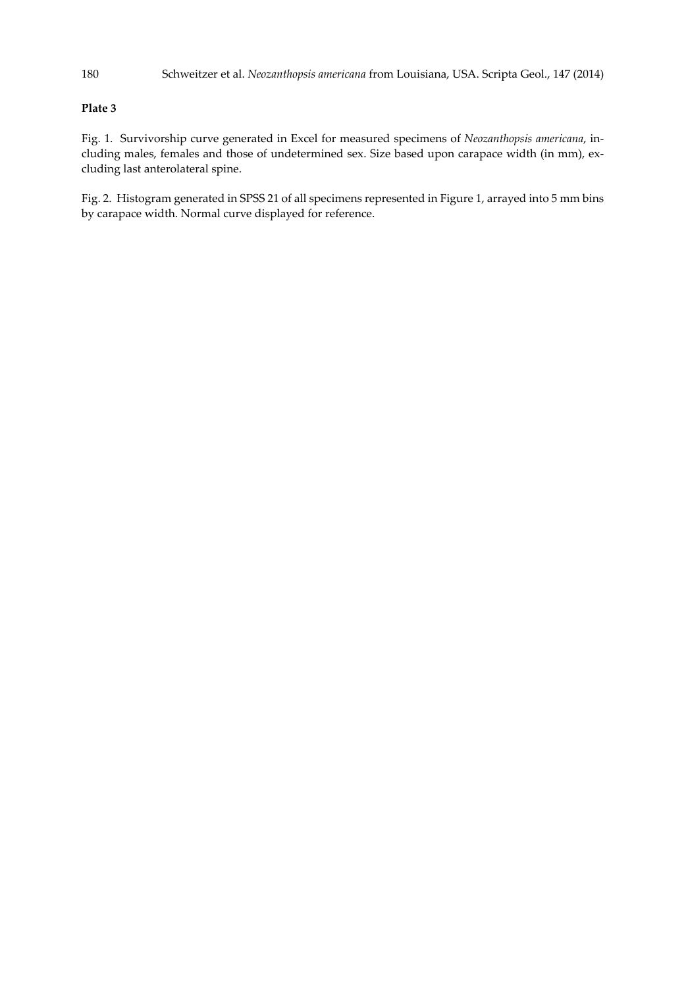Fig. 1. Survivorship curve generated in Excel for measured specimens of *Neozanthopsis americana*, including males, females and those of undetermined sex. Size based upon carapace width (in mm), excluding last anterolateral spine.

Fig. 2. Histogram generated in SPSS 21 of all specimens represented in Figure 1, arrayed into 5 mm bins by carapace width. Normal curve displayed for reference.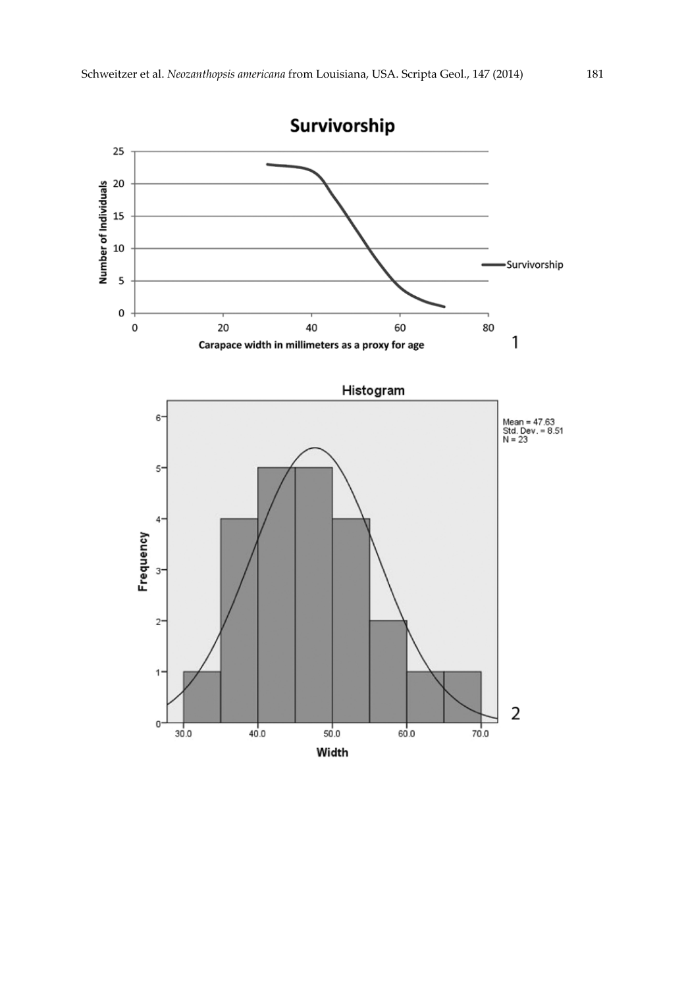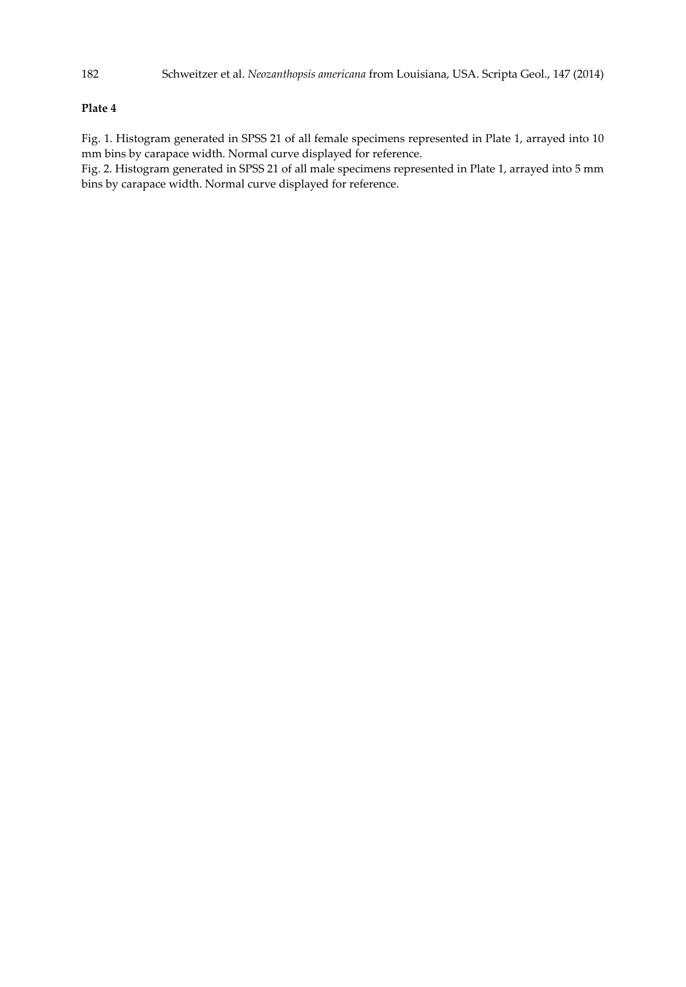Fig. 1. Histogram generated in SPSS 21 of all female specimens represented in Plate 1, arrayed into 10 mm bins by carapace width. Normal curve displayed for reference.

Fig. 2. Histogram generated in SPSS 21 of all male specimens represented in Plate 1, arrayed into 5 mm bins by carapace width. Normal curve displayed for reference.